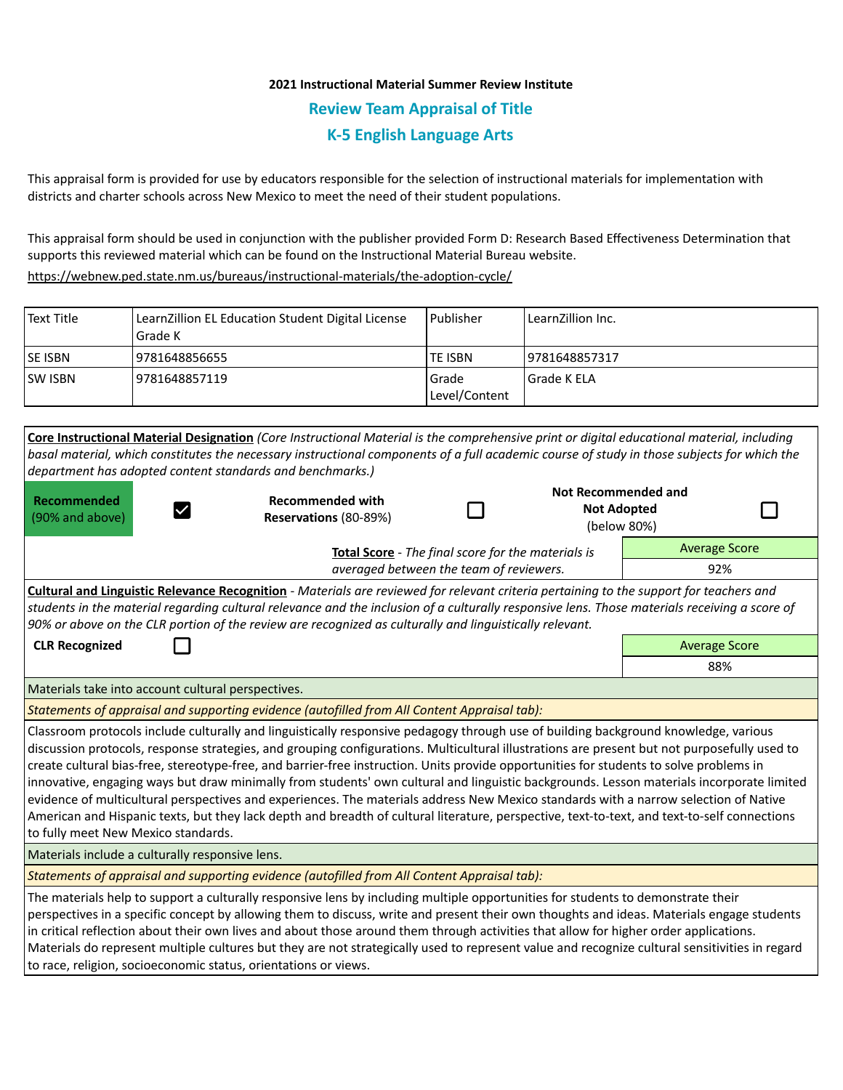## **2021 Instructional Material Summer Review Institute Review Team Appraisal of Title K-5 English Language Arts**

This appraisal form is provided for use by educators responsible for the selection of instructional materials for implementation with districts and charter schools across New Mexico to meet the need of their student populations.

This appraisal form should be used in conjunction with the publisher provided Form D: Research Based Effectiveness Determination that supports this reviewed material which can be found on the Instructional Material Bureau website.

<https://webnew.ped.state.nm.us/bureaus/instructional-materials/the-adoption-cycle/>

| Text Title     | LearnZillion EL Education Student Digital License<br>Grade K | l Publisher              | LearnZillion Inc. |
|----------------|--------------------------------------------------------------|--------------------------|-------------------|
| <b>SE ISBN</b> | 9781648856655                                                | TE ISBN                  | 19781648857317    |
| <b>SW ISBN</b> | 9781648857119                                                | l Grade<br>Level/Content | l Grade K ELA     |

|                                                                                                                                                                                                                                                                                                                                                                                                                                                                                                                                                                                                                                                                                                                                                                                                                                                                                                            | Core Instructional Material Designation (Core Instructional Material is the comprehensive print or digital educational material, including<br>basal material, which constitutes the necessary instructional components of a full academic course of study in those subjects for which the<br>department has adopted content standards and benchmarks.)                                                                                                                                                                                                                   |  |                                                  |                      |  |  |  |
|------------------------------------------------------------------------------------------------------------------------------------------------------------------------------------------------------------------------------------------------------------------------------------------------------------------------------------------------------------------------------------------------------------------------------------------------------------------------------------------------------------------------------------------------------------------------------------------------------------------------------------------------------------------------------------------------------------------------------------------------------------------------------------------------------------------------------------------------------------------------------------------------------------|--------------------------------------------------------------------------------------------------------------------------------------------------------------------------------------------------------------------------------------------------------------------------------------------------------------------------------------------------------------------------------------------------------------------------------------------------------------------------------------------------------------------------------------------------------------------------|--|--------------------------------------------------|----------------------|--|--|--|
| <b>Recommended</b><br>$\checkmark$<br>(90% and above)                                                                                                                                                                                                                                                                                                                                                                                                                                                                                                                                                                                                                                                                                                                                                                                                                                                      | <b>Recommended with</b><br>Reservations (80-89%)                                                                                                                                                                                                                                                                                                                                                                                                                                                                                                                         |  | <b>Not Recommended and</b><br><b>Not Adopted</b> | (below 80%)          |  |  |  |
|                                                                                                                                                                                                                                                                                                                                                                                                                                                                                                                                                                                                                                                                                                                                                                                                                                                                                                            | Total Score - The final score for the materials is                                                                                                                                                                                                                                                                                                                                                                                                                                                                                                                       |  |                                                  | <b>Average Score</b> |  |  |  |
| averaged between the team of reviewers.                                                                                                                                                                                                                                                                                                                                                                                                                                                                                                                                                                                                                                                                                                                                                                                                                                                                    |                                                                                                                                                                                                                                                                                                                                                                                                                                                                                                                                                                          |  |                                                  | 92%                  |  |  |  |
| <b>Cultural and Linguistic Relevance Recognition</b> - Materials are reviewed for relevant criteria pertaining to the support for teachers and<br>students in the material regarding cultural relevance and the inclusion of a culturally responsive lens. Those materials receiving a score of<br>90% or above on the CLR portion of the review are recognized as culturally and linguistically relevant.                                                                                                                                                                                                                                                                                                                                                                                                                                                                                                 |                                                                                                                                                                                                                                                                                                                                                                                                                                                                                                                                                                          |  |                                                  |                      |  |  |  |
| <b>CLR Recognized</b>                                                                                                                                                                                                                                                                                                                                                                                                                                                                                                                                                                                                                                                                                                                                                                                                                                                                                      |                                                                                                                                                                                                                                                                                                                                                                                                                                                                                                                                                                          |  |                                                  | <b>Average Score</b> |  |  |  |
|                                                                                                                                                                                                                                                                                                                                                                                                                                                                                                                                                                                                                                                                                                                                                                                                                                                                                                            |                                                                                                                                                                                                                                                                                                                                                                                                                                                                                                                                                                          |  |                                                  | 88%                  |  |  |  |
| Materials take into account cultural perspectives.                                                                                                                                                                                                                                                                                                                                                                                                                                                                                                                                                                                                                                                                                                                                                                                                                                                         |                                                                                                                                                                                                                                                                                                                                                                                                                                                                                                                                                                          |  |                                                  |                      |  |  |  |
| Statements of appraisal and supporting evidence (autofilled from All Content Appraisal tab):                                                                                                                                                                                                                                                                                                                                                                                                                                                                                                                                                                                                                                                                                                                                                                                                               |                                                                                                                                                                                                                                                                                                                                                                                                                                                                                                                                                                          |  |                                                  |                      |  |  |  |
| Classroom protocols include culturally and linguistically responsive pedagogy through use of building background knowledge, various<br>discussion protocols, response strategies, and grouping configurations. Multicultural illustrations are present but not purposefully used to<br>create cultural bias-free, stereotype-free, and barrier-free instruction. Units provide opportunities for students to solve problems in<br>innovative, engaging ways but draw minimally from students' own cultural and linguistic backgrounds. Lesson materials incorporate limited<br>evidence of multicultural perspectives and experiences. The materials address New Mexico standards with a narrow selection of Native<br>American and Hispanic texts, but they lack depth and breadth of cultural literature, perspective, text-to-text, and text-to-self connections<br>to fully meet New Mexico standards. |                                                                                                                                                                                                                                                                                                                                                                                                                                                                                                                                                                          |  |                                                  |                      |  |  |  |
| Materials include a culturally responsive lens.                                                                                                                                                                                                                                                                                                                                                                                                                                                                                                                                                                                                                                                                                                                                                                                                                                                            |                                                                                                                                                                                                                                                                                                                                                                                                                                                                                                                                                                          |  |                                                  |                      |  |  |  |
| Statements of appraisal and supporting evidence (autofilled from All Content Appraisal tab):                                                                                                                                                                                                                                                                                                                                                                                                                                                                                                                                                                                                                                                                                                                                                                                                               |                                                                                                                                                                                                                                                                                                                                                                                                                                                                                                                                                                          |  |                                                  |                      |  |  |  |
|                                                                                                                                                                                                                                                                                                                                                                                                                                                                                                                                                                                                                                                                                                                                                                                                                                                                                                            | The materials help to support a culturally responsive lens by including multiple opportunities for students to demonstrate their<br>perspectives in a specific concept by allowing them to discuss, write and present their own thoughts and ideas. Materials engage students<br>in critical reflection about their own lives and about those around them through activities that allow for higher order applications.<br>Materials do represent multiple cultures but they are not strategically used to represent value and recognize cultural sensitivities in regard |  |                                                  |                      |  |  |  |

to race, religion, socioeconomic status, orientations or views.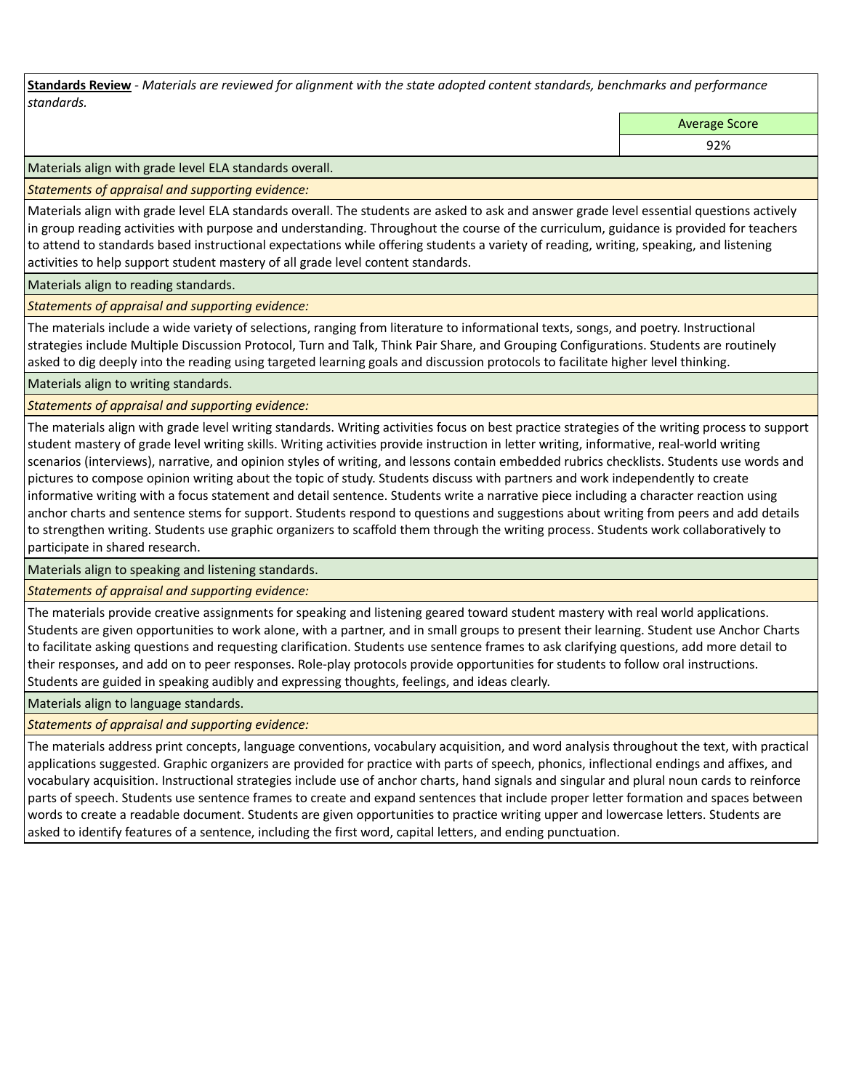**Standards Review** *- Materials are reviewed for alignment with the state adopted content standards, benchmarks and performance standards.*

Average Score

92%

Materials align with grade level ELA standards overall.

*Statements of appraisal and supporting evidence:* 

Materials align with grade level ELA standards overall. The students are asked to ask and answer grade level essential questions actively in group reading activities with purpose and understanding. Throughout the course of the curriculum, guidance is provided for teachers to attend to standards based instructional expectations while offering students a variety of reading, writing, speaking, and listening activities to help support student mastery of all grade level content standards.

Materials align to reading standards.

*Statements of appraisal and supporting evidence:* 

The materials include a wide variety of selections, ranging from literature to informational texts, songs, and poetry. Instructional strategies include Multiple Discussion Protocol, Turn and Talk, Think Pair Share, and Grouping Configurations. Students are routinely asked to dig deeply into the reading using targeted learning goals and discussion protocols to facilitate higher level thinking.

Materials align to writing standards.

*Statements of appraisal and supporting evidence:* 

The materials align with grade level writing standards. Writing activities focus on best practice strategies of the writing process to support student mastery of grade level writing skills. Writing activities provide instruction in letter writing, informative, real-world writing scenarios (interviews), narrative, and opinion styles of writing, and lessons contain embedded rubrics checklists. Students use words and pictures to compose opinion writing about the topic of study. Students discuss with partners and work independently to create informative writing with a focus statement and detail sentence. Students write a narrative piece including a character reaction using anchor charts and sentence stems for support. Students respond to questions and suggestions about writing from peers and add details to strengthen writing. Students use graphic organizers to scaffold them through the writing process. Students work collaboratively to participate in shared research.

Materials align to speaking and listening standards.

*Statements of appraisal and supporting evidence:* 

The materials provide creative assignments for speaking and listening geared toward student mastery with real world applications. Students are given opportunities to work alone, with a partner, and in small groups to present their learning. Student use Anchor Charts to facilitate asking questions and requesting clarification. Students use sentence frames to ask clarifying questions, add more detail to their responses, and add on to peer responses. Role-play protocols provide opportunities for students to follow oral instructions. Students are guided in speaking audibly and expressing thoughts, feelings, and ideas clearly.

Materials align to language standards.

*Statements of appraisal and supporting evidence:* 

The materials address print concepts, language conventions, vocabulary acquisition, and word analysis throughout the text, with practical applications suggested. Graphic organizers are provided for practice with parts of speech, phonics, inflectional endings and affixes, and vocabulary acquisition. Instructional strategies include use of anchor charts, hand signals and singular and plural noun cards to reinforce parts of speech. Students use sentence frames to create and expand sentences that include proper letter formation and spaces between words to create a readable document. Students are given opportunities to practice writing upper and lowercase letters. Students are asked to identify features of a sentence, including the first word, capital letters, and ending punctuation.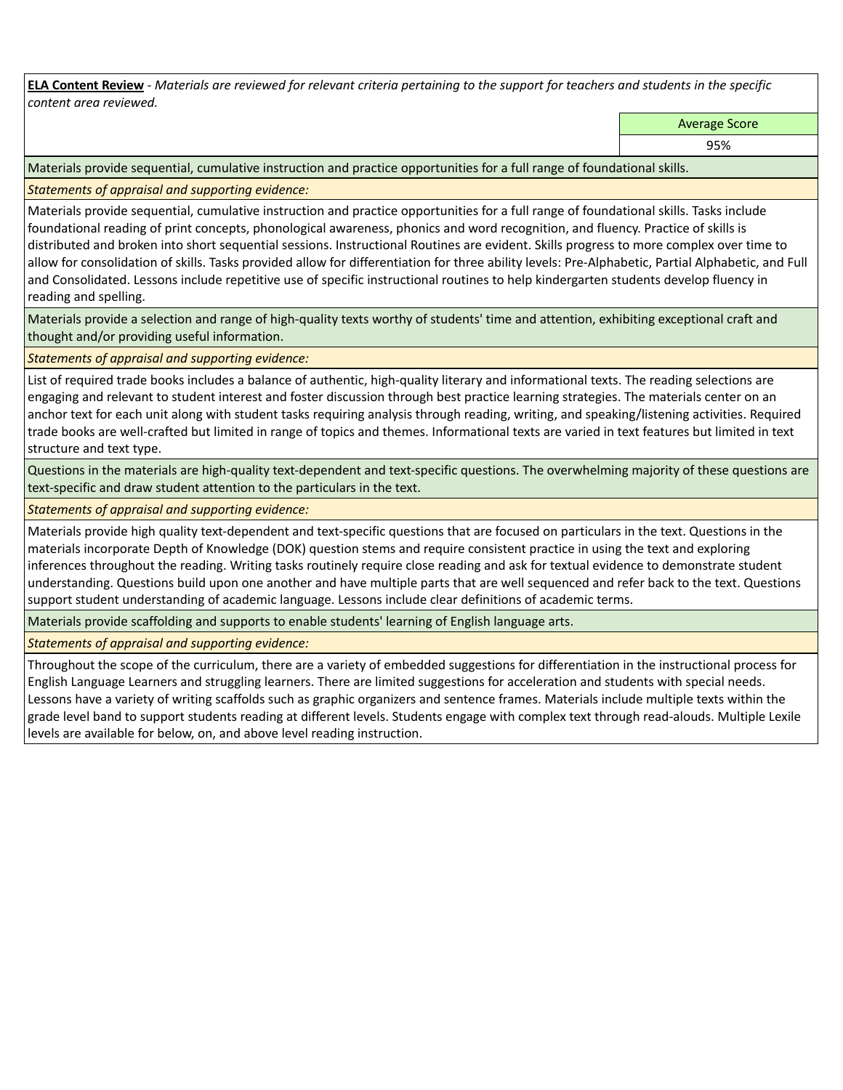**ELA Content Review** *- Materials are reviewed for relevant criteria pertaining to the support for teachers and students in the specific content area reviewed.*

Average Score

95%

Materials provide sequential, cumulative instruction and practice opportunities for a full range of foundational skills.

*Statements of appraisal and supporting evidence:* 

Materials provide sequential, cumulative instruction and practice opportunities for a full range of foundational skills. Tasks include foundational reading of print concepts, phonological awareness, phonics and word recognition, and fluency. Practice of skills is distributed and broken into short sequential sessions. Instructional Routines are evident. Skills progress to more complex over time to allow for consolidation of skills. Tasks provided allow for differentiation for three ability levels: Pre-Alphabetic, Partial Alphabetic, and Full and Consolidated. Lessons include repetitive use of specific instructional routines to help kindergarten students develop fluency in reading and spelling.

Materials provide a selection and range of high-quality texts worthy of students' time and attention, exhibiting exceptional craft and thought and/or providing useful information.

*Statements of appraisal and supporting evidence:* 

List of required trade books includes a balance of authentic, high-quality literary and informational texts. The reading selections are engaging and relevant to student interest and foster discussion through best practice learning strategies. The materials center on an anchor text for each unit along with student tasks requiring analysis through reading, writing, and speaking/listening activities. Required trade books are well-crafted but limited in range of topics and themes. Informational texts are varied in text features but limited in text structure and text type.

Questions in the materials are high-quality text-dependent and text-specific questions. The overwhelming majority of these questions are text-specific and draw student attention to the particulars in the text.

*Statements of appraisal and supporting evidence:* 

Materials provide high quality text-dependent and text-specific questions that are focused on particulars in the text. Questions in the materials incorporate Depth of Knowledge (DOK) question stems and require consistent practice in using the text and exploring inferences throughout the reading. Writing tasks routinely require close reading and ask for textual evidence to demonstrate student understanding. Questions build upon one another and have multiple parts that are well sequenced and refer back to the text. Questions support student understanding of academic language. Lessons include clear definitions of academic terms.

Materials provide scaffolding and supports to enable students' learning of English language arts.

*Statements of appraisal and supporting evidence:* 

Throughout the scope of the curriculum, there are a variety of embedded suggestions for differentiation in the instructional process for English Language Learners and struggling learners. There are limited suggestions for acceleration and students with special needs. Lessons have a variety of writing scaffolds such as graphic organizers and sentence frames. Materials include multiple texts within the grade level band to support students reading at different levels. Students engage with complex text through read-alouds. Multiple Lexile levels are available for below, on, and above level reading instruction.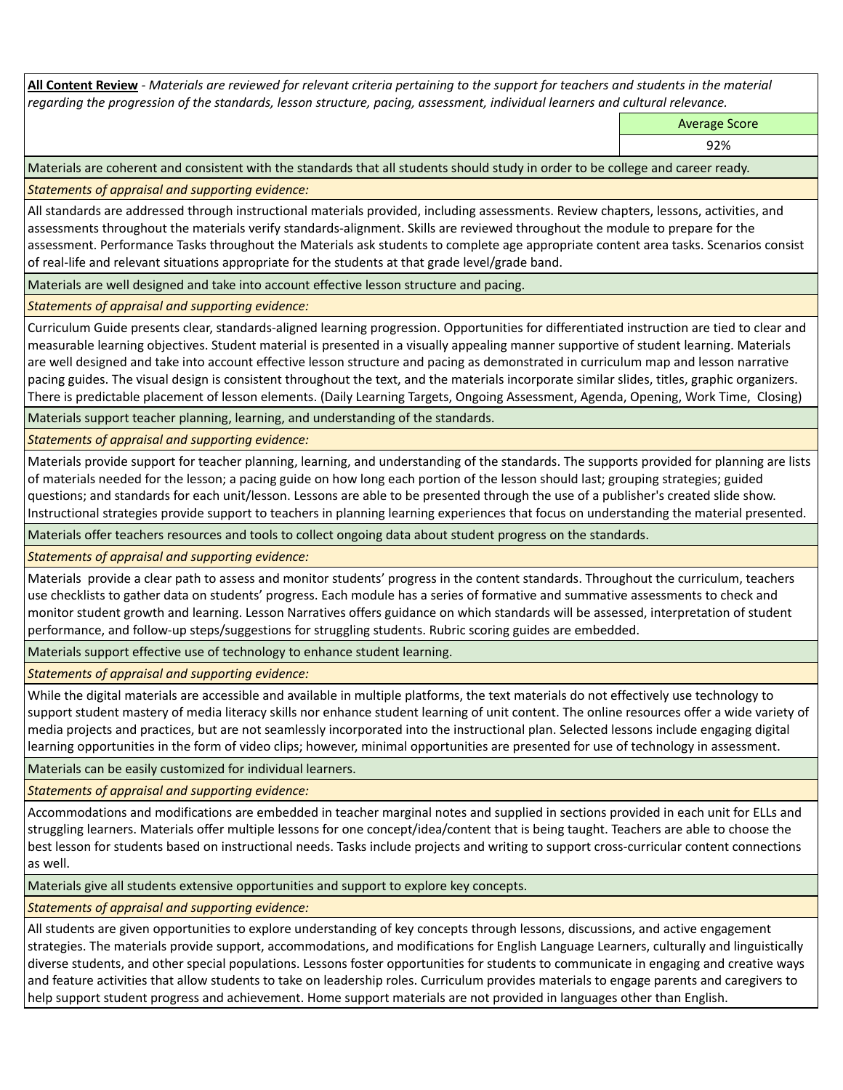**All Content Review** *- Materials are reviewed for relevant criteria pertaining to the support for teachers and students in the material regarding the progression of the standards, lesson structure, pacing, assessment, individual learners and cultural relevance.*

Average Score

92%

Materials are coherent and consistent with the standards that all students should study in order to be college and career ready.

*Statements of appraisal and supporting evidence:*

All standards are addressed through instructional materials provided, including assessments. Review chapters, lessons, activities, and assessments throughout the materials verify standards-alignment. Skills are reviewed throughout the module to prepare for the assessment. Performance Tasks throughout the Materials ask students to complete age appropriate content area tasks. Scenarios consist of real-life and relevant situations appropriate for the students at that grade level/grade band.

Materials are well designed and take into account effective lesson structure and pacing.

*Statements of appraisal and supporting evidence:*

Curriculum Guide presents clear, standards-aligned learning progression. Opportunities for differentiated instruction are tied to clear and measurable learning objectives. Student material is presented in a visually appealing manner supportive of student learning. Materials are well designed and take into account effective lesson structure and pacing as demonstrated in curriculum map and lesson narrative pacing guides. The visual design is consistent throughout the text, and the materials incorporate similar slides, titles, graphic organizers. There is predictable placement of lesson elements. (Daily Learning Targets, Ongoing Assessment, Agenda, Opening, Work Time, Closing)

Materials support teacher planning, learning, and understanding of the standards.

*Statements of appraisal and supporting evidence:*

Materials provide support for teacher planning, learning, and understanding of the standards. The supports provided for planning are lists of materials needed for the lesson; a pacing guide on how long each portion of the lesson should last; grouping strategies; guided questions; and standards for each unit/lesson. Lessons are able to be presented through the use of a publisher's created slide show. Instructional strategies provide support to teachers in planning learning experiences that focus on understanding the material presented.

Materials offer teachers resources and tools to collect ongoing data about student progress on the standards.

*Statements of appraisal and supporting evidence:*

Materials provide a clear path to assess and monitor students' progress in the content standards. Throughout the curriculum, teachers use checklists to gather data on students' progress. Each module has a series of formative and summative assessments to check and monitor student growth and learning. Lesson Narratives offers guidance on which standards will be assessed, interpretation of student performance, and follow-up steps/suggestions for struggling students. Rubric scoring guides are embedded.

Materials support effective use of technology to enhance student learning.

*Statements of appraisal and supporting evidence:*

While the digital materials are accessible and available in multiple platforms, the text materials do not effectively use technology to support student mastery of media literacy skills nor enhance student learning of unit content. The online resources offer a wide variety of media projects and practices, but are not seamlessly incorporated into the instructional plan. Selected lessons include engaging digital learning opportunities in the form of video clips; however, minimal opportunities are presented for use of technology in assessment.

Materials can be easily customized for individual learners.

*Statements of appraisal and supporting evidence:* 

Accommodations and modifications are embedded in teacher marginal notes and supplied in sections provided in each unit for ELLs and struggling learners. Materials offer multiple lessons for one concept/idea/content that is being taught. Teachers are able to choose the best lesson for students based on instructional needs. Tasks include projects and writing to support cross-curricular content connections as well.

Materials give all students extensive opportunities and support to explore key concepts.

*Statements of appraisal and supporting evidence:*

All students are given opportunities to explore understanding of key concepts through lessons, discussions, and active engagement strategies. The materials provide support, accommodations, and modifications for English Language Learners, culturally and linguistically diverse students, and other special populations. Lessons foster opportunities for students to communicate in engaging and creative ways and feature activities that allow students to take on leadership roles. Curriculum provides materials to engage parents and caregivers to help support student progress and achievement. Home support materials are not provided in languages other than English.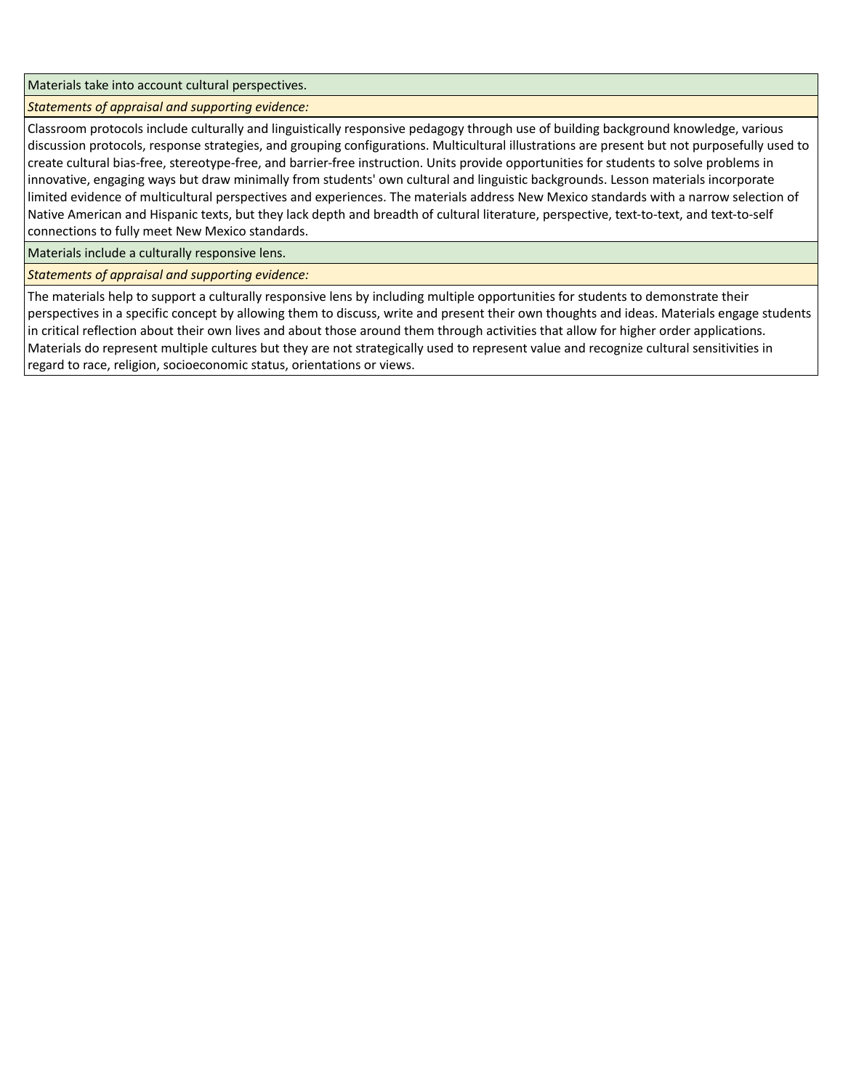Materials take into account cultural perspectives.

*Statements of appraisal and supporting evidence:*

Classroom protocols include culturally and linguistically responsive pedagogy through use of building background knowledge, various discussion protocols, response strategies, and grouping configurations. Multicultural illustrations are present but not purposefully used to create cultural bias-free, stereotype-free, and barrier-free instruction. Units provide opportunities for students to solve problems in innovative, engaging ways but draw minimally from students' own cultural and linguistic backgrounds. Lesson materials incorporate limited evidence of multicultural perspectives and experiences. The materials address New Mexico standards with a narrow selection of Native American and Hispanic texts, but they lack depth and breadth of cultural literature, perspective, text-to-text, and text-to-self connections to fully meet New Mexico standards.

Materials include a culturally responsive lens.

*Statements of appraisal and supporting evidence:*

The materials help to support a culturally responsive lens by including multiple opportunities for students to demonstrate their perspectives in a specific concept by allowing them to discuss, write and present their own thoughts and ideas. Materials engage students in critical reflection about their own lives and about those around them through activities that allow for higher order applications. Materials do represent multiple cultures but they are not strategically used to represent value and recognize cultural sensitivities in regard to race, religion, socioeconomic status, orientations or views.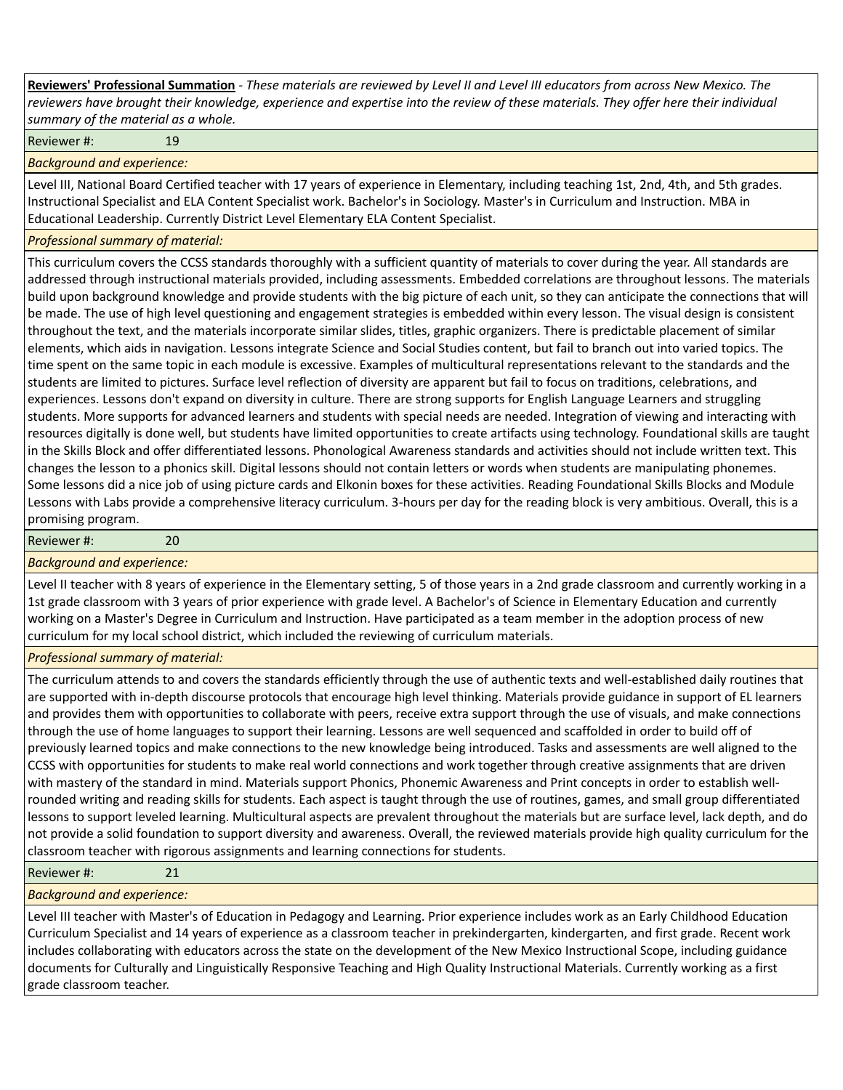**Reviewers' Professional Summation** *- These materials are reviewed by Level II and Level III educators from across New Mexico. The reviewers have brought their knowledge, experience and expertise into the review of these materials. They offer here their individual summary of the material as a whole.*

Reviewer #: 19

*Background and experience:*

Level III, National Board Certified teacher with 17 years of experience in Elementary, including teaching 1st, 2nd, 4th, and 5th grades. Instructional Specialist and ELA Content Specialist work. Bachelor's in Sociology. Master's in Curriculum and Instruction. MBA in Educational Leadership. Currently District Level Elementary ELA Content Specialist.

*Professional summary of material:*

This curriculum covers the CCSS standards thoroughly with a sufficient quantity of materials to cover during the year. All standards are addressed through instructional materials provided, including assessments. Embedded correlations are throughout lessons. The materials build upon background knowledge and provide students with the big picture of each unit, so they can anticipate the connections that will be made. The use of high level questioning and engagement strategies is embedded within every lesson. The visual design is consistent throughout the text, and the materials incorporate similar slides, titles, graphic organizers. There is predictable placement of similar elements, which aids in navigation. Lessons integrate Science and Social Studies content, but fail to branch out into varied topics. The time spent on the same topic in each module is excessive. Examples of multicultural representations relevant to the standards and the students are limited to pictures. Surface level reflection of diversity are apparent but fail to focus on traditions, celebrations, and experiences. Lessons don't expand on diversity in culture. There are strong supports for English Language Learners and struggling students. More supports for advanced learners and students with special needs are needed. Integration of viewing and interacting with resources digitally is done well, but students have limited opportunities to create artifacts using technology. Foundational skills are taught in the Skills Block and offer differentiated lessons. Phonological Awareness standards and activities should not include written text. This changes the lesson to a phonics skill. Digital lessons should not contain letters or words when students are manipulating phonemes. Some lessons did a nice job of using picture cards and Elkonin boxes for these activities. Reading Foundational Skills Blocks and Module Lessons with Labs provide a comprehensive literacy curriculum. 3-hours per day for the reading block is very ambitious. Overall, this is a promising program.

Reviewer #: 20

*Background and experience:*

Level II teacher with 8 years of experience in the Elementary setting, 5 of those years in a 2nd grade classroom and currently working in a 1st grade classroom with 3 years of prior experience with grade level. A Bachelor's of Science in Elementary Education and currently working on a Master's Degree in Curriculum and Instruction. Have participated as a team member in the adoption process of new curriculum for my local school district, which included the reviewing of curriculum materials.

*Professional summary of material:*

The curriculum attends to and covers the standards efficiently through the use of authentic texts and well-established daily routines that are supported with in-depth discourse protocols that encourage high level thinking. Materials provide guidance in support of EL learners and provides them with opportunities to collaborate with peers, receive extra support through the use of visuals, and make connections through the use of home languages to support their learning. Lessons are well sequenced and scaffolded in order to build off of previously learned topics and make connections to the new knowledge being introduced. Tasks and assessments are well aligned to the CCSS with opportunities for students to make real world connections and work together through creative assignments that are driven with mastery of the standard in mind. Materials support Phonics, Phonemic Awareness and Print concepts in order to establish wellrounded writing and reading skills for students. Each aspect is taught through the use of routines, games, and small group differentiated lessons to support leveled learning. Multicultural aspects are prevalent throughout the materials but are surface level, lack depth, and do not provide a solid foundation to support diversity and awareness. Overall, the reviewed materials provide high quality curriculum for the classroom teacher with rigorous assignments and learning connections for students.

Reviewer #: 21

*Background and experience:*

Level III teacher with Master's of Education in Pedagogy and Learning. Prior experience includes work as an Early Childhood Education Curriculum Specialist and 14 years of experience as a classroom teacher in prekindergarten, kindergarten, and first grade. Recent work includes collaborating with educators across the state on the development of the New Mexico Instructional Scope, including guidance documents for Culturally and Linguistically Responsive Teaching and High Quality Instructional Materials. Currently working as a first grade classroom teacher.